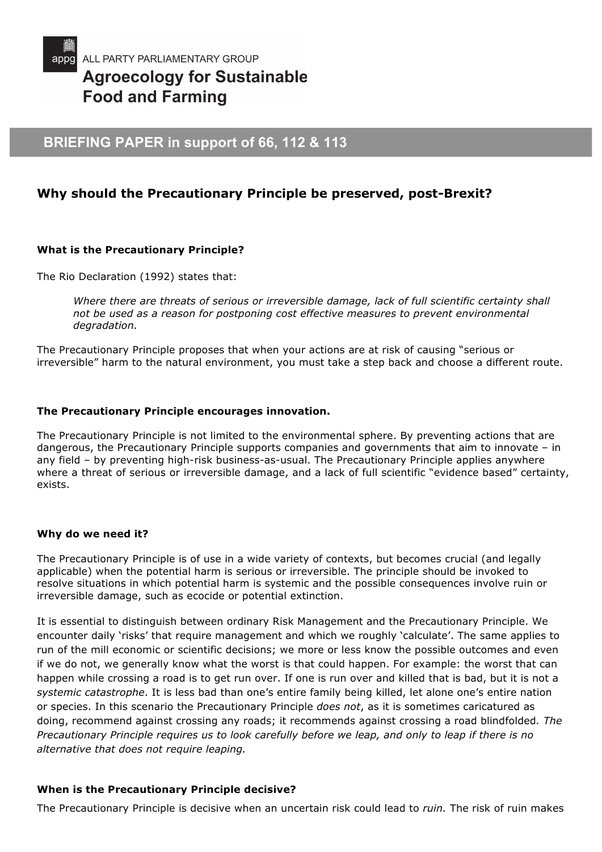

# **Agroecology for Sustainable Food and Farming**

# **BRIEFING PAPER in support of 66, 112 & 113**

# **Why should the Precautionary Principle be preserved, post-Brexit?**

# **What is the Precautionary Principle?**

The Rio Declaration (1992) states that:

*Where there are threats of serious or irreversible damage, lack of full scientific certainty shall not be used as a reason for postponing cost effective measures to prevent environmental degradation.* 

The Precautionary Principle proposes that when your actions are at risk of causing "serious or irreversible" harm to the natural environment, you must take a step back and choose a different route.

#### **The Precautionary Principle encourages innovation.**

The Precautionary Principle is not limited to the environmental sphere. By preventing actions that are dangerous, the Precautionary Principle supports companies and governments that aim to innovate – in any field – by preventing high-risk business-as-usual. The Precautionary Principle applies anywhere where a threat of serious or irreversible damage, and a lack of full scientific "evidence based" certainty, exists.

#### **Why do we need it?**

The Precautionary Principle is of use in a wide variety of contexts, but becomes crucial (and legally applicable) when the potential harm is serious or irreversible. The principle should be invoked to resolve situations in which potential harm is systemic and the possible consequences involve ruin or irreversible damage, such as ecocide or potential extinction.

It is essential to distinguish between ordinary Risk Management and the Precautionary Principle. We encounter daily 'risks' that require management and which we roughly 'calculate'. The same applies to run of the mill economic or scientific decisions; we more or less know the possible outcomes and even if we do not, we generally know what the worst is that could happen. For example: the worst that can happen while crossing a road is to get run over. If one is run over and killed that is bad, but it is not a *systemic catastrophe*. It is less bad than one's entire family being killed, let alone one's entire nation or species. In this scenario the Precautionary Principle *does not*, as it is sometimes caricatured as doing, recommend against crossing any roads; it recommends against crossing a road blindfolded*. The Precautionary Principle requires us to look carefully before we leap, and only to leap if there is no alternative that does not require leaping.*

# **When is the Precautionary Principle decisive?**

The Precautionary Principle is decisive when an uncertain risk could lead to *ruin.* The risk of ruin makes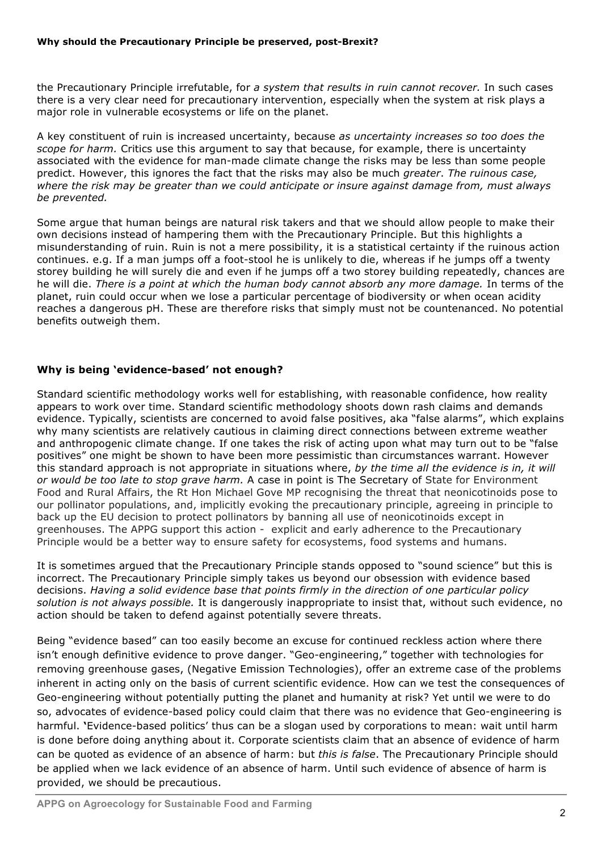the Precautionary Principle irrefutable, for *a system that results in ruin cannot recover.* In such cases there is a very clear need for precautionary intervention, especially when the system at risk plays a major role in vulnerable ecosystems or life on the planet.

A key constituent of ruin is increased uncertainty, because *as uncertainty increases so too does the scope for harm.* Critics use this argument to say that because, for example, there is uncertainty associated with the evidence for man-made climate change the risks may be less than some people predict. However, this ignores the fact that the risks may also be much *greater*. *The ruinous case, where the risk may be greater than we could anticipate or insure against damage from, must always be prevented.* 

Some argue that human beings are natural risk takers and that we should allow people to make their own decisions instead of hampering them with the Precautionary Principle. But this highlights a misunderstanding of ruin. Ruin is not a mere possibility, it is a statistical certainty if the ruinous action continues. e.g. If a man jumps off a foot-stool he is unlikely to die, whereas if he jumps off a twenty storey building he will surely die and even if he jumps off a two storey building repeatedly, chances are he will die. *There is a point at which the human body cannot absorb any more damage.* In terms of the planet, ruin could occur when we lose a particular percentage of biodiversity or when ocean acidity reaches a dangerous pH. These are therefore risks that simply must not be countenanced. No potential benefits outweigh them.

# **Why is being 'evidence-based' not enough?**

Standard scientific methodology works well for establishing, with reasonable confidence, how reality appears to work over time. Standard scientific methodology shoots down rash claims and demands evidence. Typically, scientists are concerned to avoid false positives, aka "false alarms", which explains why many scientists are relatively cautious in claiming direct connections between extreme weather and anthropogenic climate change. If one takes the risk of acting upon what may turn out to be "false positives" one might be shown to have been more pessimistic than circumstances warrant. However this standard approach is not appropriate in situations where, *by the time all the evidence is in, it will or would be too late to stop grave harm.* A case in point is The Secretary of State for Environment Food and Rural Affairs, the Rt Hon Michael Gove MP recognising the threat that neonicotinoids pose to our pollinator populations, and, implicitly evoking the precautionary principle, agreeing in principle to back up the EU decision to protect pollinators by banning all use of neonicotinoids except in greenhouses. The APPG support this action - explicit and early adherence to the Precautionary Principle would be a better way to ensure safety for ecosystems, food systems and humans.

It is sometimes argued that the Precautionary Principle stands opposed to "sound science" but this is incorrect. The Precautionary Principle simply takes us beyond our obsession with evidence based decisions. *Having a solid evidence base that points firmly in the direction of one particular policy solution is not always possible.* It is dangerously inappropriate to insist that, without such evidence, no action should be taken to defend against potentially severe threats.

Being "evidence based" can too easily become an excuse for continued reckless action where there isn't enough definitive evidence to prove danger. "Geo-engineering," together with technologies for removing greenhouse gases, (Negative Emission Technologies), offer an extreme case of the problems inherent in acting only on the basis of current scientific evidence. How can we test the consequences of Geo-engineering without potentially putting the planet and humanity at risk? Yet until we were to do so, advocates of evidence-based policy could claim that there was no evidence that Geo-engineering is harmful. **'**Evidence-based politics' thus can be a slogan used by corporations to mean: wait until harm is done before doing anything about it. Corporate scientists claim that an absence of evidence of harm can be quoted as evidence of an absence of harm: but *this is false*. The Precautionary Principle should be applied when we lack evidence of an absence of harm. Until such evidence of absence of harm is provided, we should be precautious.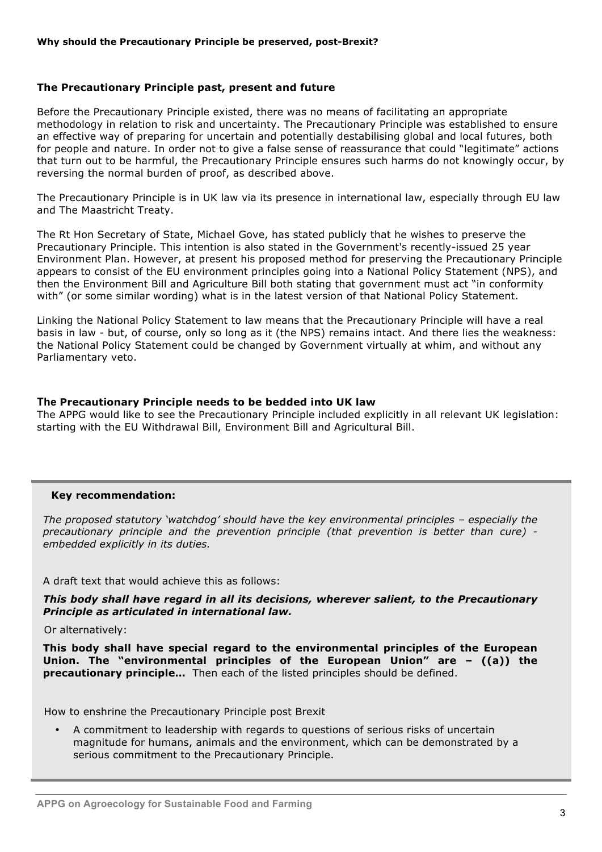#### **The Precautionary Principle past, present and future**

Before the Precautionary Principle existed, there was no means of facilitating an appropriate methodology in relation to risk and uncertainty. The Precautionary Principle was established to ensure an effective way of preparing for uncertain and potentially destabilising global and local futures, both for people and nature. In order not to give a false sense of reassurance that could "legitimate" actions that turn out to be harmful, the Precautionary Principle ensures such harms do not knowingly occur, by reversing the normal burden of proof, as described above.

The Precautionary Principle is in UK law via its presence in international law, especially through EU law and The Maastricht Treaty.

The Rt Hon Secretary of State, Michael Gove, has stated publicly that he wishes to preserve the Precautionary Principle. This intention is also stated in the Government's recently-issued 25 year Environment Plan. However, at present his proposed method for preserving the Precautionary Principle appears to consist of the EU environment principles going into a National Policy Statement (NPS), and then the Environment Bill and Agriculture Bill both stating that government must act "in conformity with" (or some similar wording) what is in the latest version of that National Policy Statement.

Linking the National Policy Statement to law means that the Precautionary Principle will have a real basis in law - but, of course, only so long as it (the NPS) remains intact. And there lies the weakness: the National Policy Statement could be changed by Government virtually at whim, and without any Parliamentary veto.

#### **The Precautionary Principle needs to be bedded into UK law**

The APPG would like to see the Precautionary Principle included explicitly in all relevant UK legislation: starting with the EU Withdrawal Bill, Environment Bill and Agricultural Bill.

#### **Key recommendation:**

*The proposed statutory 'watchdog' should have the key environmental principles – especially the precautionary principle and the prevention principle (that prevention is better than cure) embedded explicitly in its duties.*

A draft text that would achieve this as follows:

*This body shall have regard in all its decisions, wherever salient, to the Precautionary Principle as articulated in international law.*

Or alternatively:

**This body shall have special regard to the environmental principles of the European Union. The "environmental principles of the European Union" are – ((a)) the precautionary principle…** Then each of the listed principles should be defined.

How to enshrine the Precautionary Principle post Brexit

• A commitment to leadership with regards to questions of serious risks of uncertain magnitude for humans, animals and the environment, which can be demonstrated by a serious commitment to the Precautionary Principle.